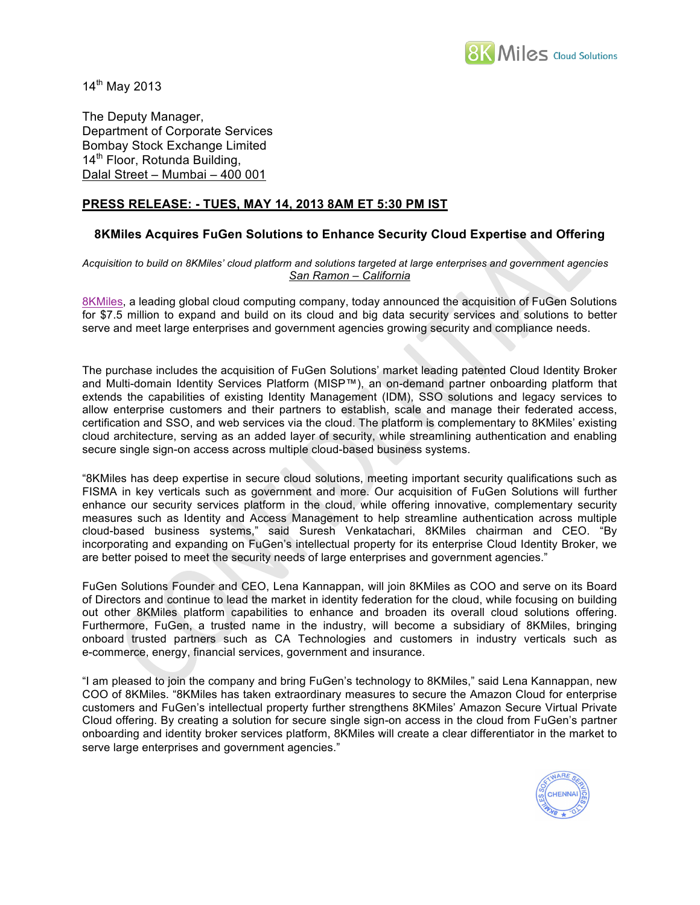

 $14^{th}$  May 2013

The Deputy Manager, Department of Corporate Services Bombay Stock Exchange Limited 14<sup>th</sup> Floor, Rotunda Building, Dalal Street – Mumbai – 400 001

## **PRESS RELEASE: - TUES, MAY 14, 2013 8AM ET 5:30 PM IST**

## **8KMiles Acquires FuGen Solutions to Enhance Security Cloud Expertise and Offering**

*Acquisition to build on 8KMiles' cloud platform and solutions targeted at large enterprises and government agencies San Ramon – California*

8KMiles, a leading global cloud computing company, today announced the acquisition of FuGen Solutions for \$7.5 million to expand and build on its cloud and big data security services and solutions to better serve and meet large enterprises and government agencies growing security and compliance needs.

The purchase includes the acquisition of FuGen Solutions' market leading patented Cloud Identity Broker and Multi-domain Identity Services Platform (MISP™), an on-demand partner onboarding platform that extends the capabilities of existing Identity Management (IDM), SSO solutions and legacy services to allow enterprise customers and their partners to establish, scale and manage their federated access, certification and SSO, and web services via the cloud. The platform is complementary to 8KMiles' existing cloud architecture, serving as an added layer of security, while streamlining authentication and enabling secure single sign-on access across multiple cloud-based business systems.

"8KMiles has deep expertise in secure cloud solutions, meeting important security qualifications such as FISMA in key verticals such as government and more. Our acquisition of FuGen Solutions will further enhance our security services platform in the cloud, while offering innovative, complementary security measures such as Identity and Access Management to help streamline authentication across multiple cloud-based business systems," said Suresh Venkatachari, 8KMiles chairman and CEO. "By incorporating and expanding on FuGen's intellectual property for its enterprise Cloud Identity Broker, we are better poised to meet the security needs of large enterprises and government agencies."

FuGen Solutions Founder and CEO, Lena Kannappan, will join 8KMiles as COO and serve on its Board of Directors and continue to lead the market in identity federation for the cloud, while focusing on building out other 8KMiles platform capabilities to enhance and broaden its overall cloud solutions offering. Furthermore, FuGen, a trusted name in the industry, will become a subsidiary of 8KMiles, bringing onboard trusted partners such as CA Technologies and customers in industry verticals such as e-commerce, energy, financial services, government and insurance.

"I am pleased to join the company and bring FuGen's technology to 8KMiles," said Lena Kannappan, new COO of 8KMiles. "8KMiles has taken extraordinary measures to secure the Amazon Cloud for enterprise customers and FuGen's intellectual property further strengthens 8KMiles' Amazon Secure Virtual Private Cloud offering. By creating a solution for secure single sign-on access in the cloud from FuGen's partner onboarding and identity broker services platform, 8KMiles will create a clear differentiator in the market to serve large enterprises and government agencies."